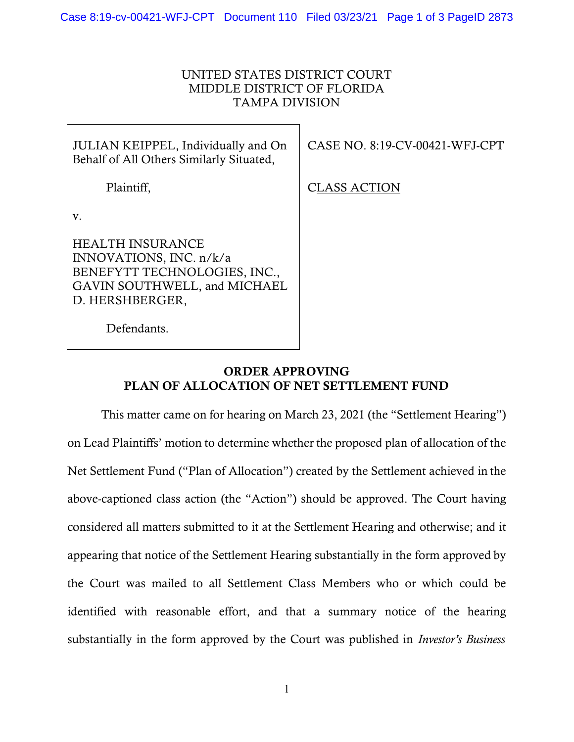## UNITED STATES DISTRICT COURT MIDDLE DISTRICT OF FLORIDA TAMPA DIVISION

| JULIAN KEIPPEL, Individually and On   CA<br>Behalf of All Others Similarly Situated, |  |
|--------------------------------------------------------------------------------------|--|
| Plaintiff,                                                                           |  |

ASE NO. 8:19-CV-00421-WFJ-CPT

LASS ACTION

v.

HEALTH INSURANCE INNOVATIONS, INC. n/k/a BENEFYTT TECHNOLOGIES, INC., GAVIN SOUTHWELL, and MICHAEL D. HERSHBERGER,

Defendants.

## ORDER APPROVING PLAN OF ALLOCATION OF NET SETTLEMENT FUND

This matter came on for hearing on March 23, 2021 (the "Settlement Hearing") on Lead Plaintiffs' motion to determine whether the proposed plan of allocation of the Net Settlement Fund ("Plan of Allocation") created by the Settlement achieved in the above-captioned class action (the "Action") should be approved. The Court having considered all matters submitted to it at the Settlement Hearing and otherwise; and it appearing that notice of the Settlement Hearing substantially in the form approved by the Court was mailed to all Settlement Class Members who or which could be identified with reasonable effort, and that a summary notice of the hearing substantially in the form approved by the Court was published in *Investor's Business*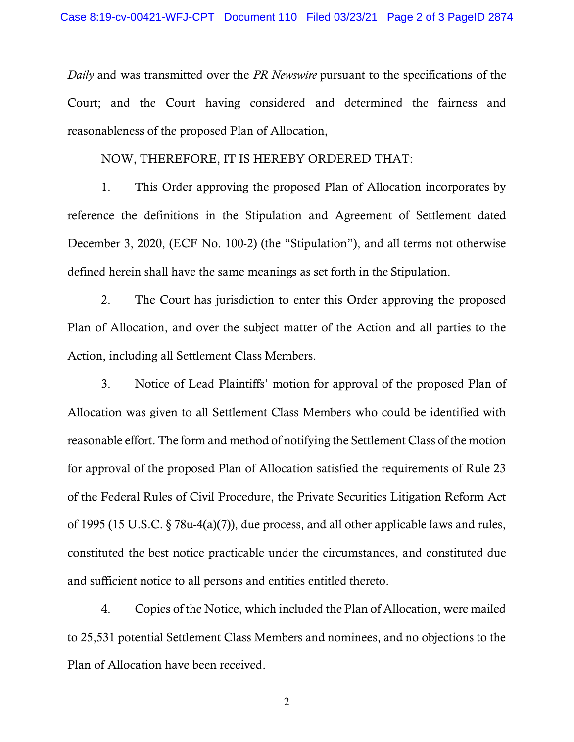*Daily* and was transmitted over the *PR Newswire* pursuant to the specifications of the Court; and the Court having considered and determined the fairness and reasonableness of the proposed Plan of Allocation,

NOW, THEREFORE, IT IS HEREBY ORDERED THAT:

1. This Order approving the proposed Plan of Allocation incorporates by reference the definitions in the Stipulation and Agreement of Settlement dated December 3, 2020, (ECF No. 100-2) (the "Stipulation"), and all terms not otherwise defined herein shall have the same meanings as set forth in the Stipulation.

2. The Court has jurisdiction to enter this Order approving the proposed Plan of Allocation, and over the subject matter of the Action and all parties to the Action, including all Settlement Class Members.

3. Notice of Lead Plaintiffs' motion for approval of the proposed Plan of Allocation was given to all Settlement Class Members who could be identified with reasonable effort. The form and method of notifying the Settlement Class of the motion for approval of the proposed Plan of Allocation satisfied the requirements of Rule 23 of the Federal Rules of Civil Procedure, the Private Securities Litigation Reform Act of 1995 (15 U.S.C. § 78u-4(a)(7)), due process, and all other applicable laws and rules, constituted the best notice practicable under the circumstances, and constituted due and sufficient notice to all persons and entities entitled thereto.

4. Copies of the Notice, which included the Plan of Allocation, were mailed to 25,531 potential Settlement Class Members and nominees, and no objections to the Plan of Allocation have been received.

2